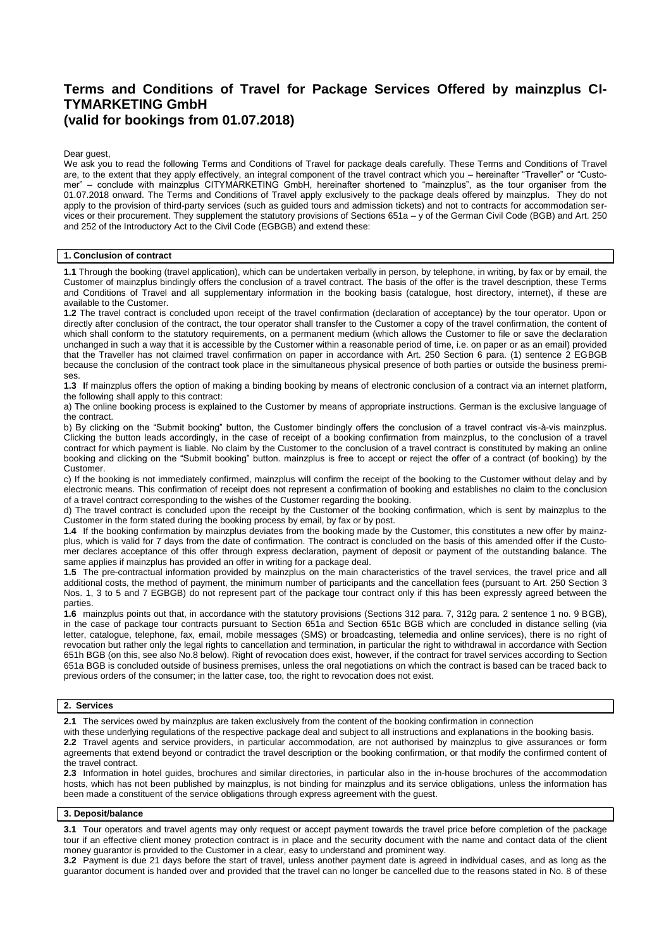# **Terms and Conditions of Travel for Package Services Offered by mainzplus CI-TYMARKETING GmbH (valid for bookings from 01.07.2018)**

#### Dear guest,

We ask you to read the following Terms and Conditions of Travel for package deals carefully. These Terms and Conditions of Travel are, to the extent that they apply effectively, an integral component of the travel contract which you – hereinafter "Traveller" or "Customer" – conclude with mainzplus CITYMARKETING GmbH, hereinafter shortened to "mainzplus", as the tour organiser from the 01.07.2018 onward. The Terms and Conditions of Travel apply exclusively to the package deals offered by mainzplus. They do not apply to the provision of third-party services (such as guided tours and admission tickets) and not to contracts for accommodation services or their procurement. They supplement the statutory provisions of Sections 651a – y of the German Civil Code (BGB) and Art. 250 and 252 of the Introductory Act to the Civil Code (EGBGB) and extend these:

## **1. Conclusion of contract**

**1.1** Through the booking (travel application), which can be undertaken verbally in person, by telephone, in writing, by fax or by email, the Customer of mainzplus bindingly offers the conclusion of a travel contract. The basis of the offer is the travel description, these Terms and Conditions of Travel and all supplementary information in the booking basis (catalogue, host directory, internet), if these are available to the Customer.

**1.2** The travel contract is concluded upon receipt of the travel confirmation (declaration of acceptance) by the tour operator. Upon or directly after conclusion of the contract, the tour operator shall transfer to the Customer a copy of the travel confirmation, the content of which shall conform to the statutory requirements, on a permanent medium (which allows the Customer to file or save the declaration unchanged in such a way that it is accessible by the Customer within a reasonable period of time, i.e. on paper or as an email) provided that the Traveller has not claimed travel confirmation on paper in accordance with Art. 250 Section 6 para. (1) sentence 2 EGBGB because the conclusion of the contract took place in the simultaneous physical presence of both parties or outside the business premises.

**1.3 I**f mainzplus offers the option of making a binding booking by means of electronic conclusion of a contract via an internet platform, the following shall apply to this contract:

a) The online booking process is explained to the Customer by means of appropriate instructions. German is the exclusive language of the contract.

b) By clicking on the "Submit booking" button, the Customer bindingly offers the conclusion of a travel contract vis-à-vis mainzplus. Clicking the button leads accordingly, in the case of receipt of a booking confirmation from mainzplus, to the conclusion of a travel contract for which payment is liable. No claim by the Customer to the conclusion of a travel contract is constituted by making an online booking and clicking on the "Submit booking" button. mainzplus is free to accept or reject the offer of a contract (of booking) by the Customer.

c) If the booking is not immediately confirmed, mainzplus will confirm the receipt of the booking to the Customer without delay and by electronic means. This confirmation of receipt does not represent a confirmation of booking and establishes no claim to the conclusion of a travel contract corresponding to the wishes of the Customer regarding the booking.

d) The travel contract is concluded upon the receipt by the Customer of the booking confirmation, which is sent by mainzplus to the Customer in the form stated during the booking process by email, by fax or by post.

**1.4** If the booking confirmation by mainzplus deviates from the booking made by the Customer, this constitutes a new offer by mainzplus, which is valid for 7 days from the date of confirmation. The contract is concluded on the basis of this amended offer if the Customer declares acceptance of this offer through express declaration, payment of deposit or payment of the outstanding balance. The same applies if mainzplus has provided an offer in writing for a package deal.

**1.5** The pre-contractual information provided by mainzplus on the main characteristics of the travel services, the travel price and all additional costs, the method of payment, the minimum number of participants and the cancellation fees (pursuant to Art. 250 Section 3 Nos. 1, 3 to 5 and 7 EGBGB) do not represent part of the package tour contract only if this has been expressly agreed between the parties.

**1.6** mainzplus points out that, in accordance with the statutory provisions (Sections 312 para. 7, 312g para. 2 sentence 1 no. 9 BGB), in the case of package tour contracts pursuant to Section 651a and Section 651c BGB which are concluded in distance selling (via letter, catalogue, telephone, fax, email, mobile messages (SMS) or broadcasting, telemedia and online services), there is no right of revocation but rather only the legal rights to cancellation and termination, in particular the right to withdrawal in accordance with Section 651h BGB (on this, see also No.8 below). Right of revocation does exist, however, if the contract for travel services according to Section 651a BGB is concluded outside of business premises, unless the oral negotiations on which the contract is based can be traced back to previous orders of the consumer; in the latter case, too, the right to revocation does not exist.

#### **2. Services**

**2.1** The services owed by mainzplus are taken exclusively from the content of the booking confirmation in connection

with these underlying regulations of the respective package deal and subject to all instructions and explanations in the booking basis. **2.2** Travel agents and service providers, in particular accommodation, are not authorised by mainzplus to give assurances or form

agreements that extend beyond or contradict the travel description or the booking confirmation, or that modify the confirmed content of the travel contract.

**2.3** Information in hotel guides, brochures and similar directories, in particular also in the in-house brochures of the accommodation hosts, which has not been published by mainzplus, is not binding for mainzplus and its service obligations, unless the information has been made a constituent of the service obligations through express agreement with the guest.

# **3. Deposit/balance**

**3.1** Tour operators and travel agents may only request or accept payment towards the travel price before completion of the package tour if an effective client money protection contract is in place and the security document with the name and contact data of the client money guarantor is provided to the Customer in a clear, easy to understand and prominent way.

**3.2** Payment is due 21 days before the start of travel, unless another payment date is agreed in individual cases, and as long as the guarantor document is handed over and provided that the travel can no longer be cancelled due to the reasons stated in No. 8 of these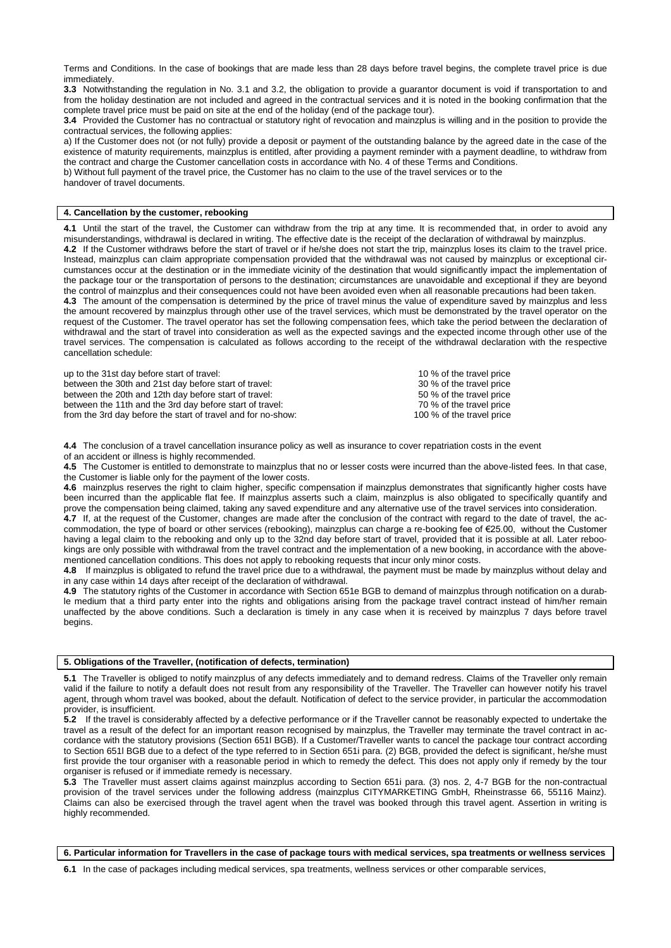Terms and Conditions. In the case of bookings that are made less than 28 days before travel begins, the complete travel price is due immediately.

**3.3** Notwithstanding the regulation in No. 3.1 and 3.2, the obligation to provide a guarantor document is void if transportation to and from the holiday destination are not included and agreed in the contractual services and it is noted in the booking confirmation that the complete travel price must be paid on site at the end of the holiday (end of the package tour).

**3.4** Provided the Customer has no contractual or statutory right of revocation and mainzplus is willing and in the position to provide the contractual services, the following applies:

a) If the Customer does not (or not fully) provide a deposit or payment of the outstanding balance by the agreed date in the case of the existence of maturity requirements, mainzplus is entitled, after providing a payment reminder with a payment deadline, to withdraw from the contract and charge the Customer cancellation costs in accordance with No. 4 of these Terms and Conditions. b) Without full payment of the travel price, the Customer has no claim to the use of the travel services or to the handover of travel documents.

## **4. Cancellation by the customer, rebooking**

**4.1** Until the start of the travel, the Customer can withdraw from the trip at any time. It is recommended that, in order to avoid any misunderstandings, withdrawal is declared in writing. The effective date is the receipt of the declaration of withdrawal by mainzplus. **4.2** If the Customer withdraws before the start of travel or if he/she does not start the trip, mainzplus loses its claim to the travel price. Instead, mainzplus can claim appropriate compensation provided that the withdrawal was not caused by mainzplus or exceptional circumstances occur at the destination or in the immediate vicinity of the destination that would significantly impact the implementation of the package tour or the transportation of persons to the destination; circumstances are unavoidable and exceptional if they are beyond the control of mainzplus and their consequences could not have been avoided even when all reasonable precautions had been taken.

**4.3** The amount of the compensation is determined by the price of travel minus the value of expenditure saved by mainzplus and less the amount recovered by mainzplus through other use of the travel services, which must be demonstrated by the travel operator on the request of the Customer. The travel operator has set the following compensation fees, which take the period between the declaration of withdrawal and the start of travel into consideration as well as the expected savings and the expected income through other use of the travel services. The compensation is calculated as follows according to the receipt of the withdrawal declaration with the respective cancellation schedule:

| up to the 31st day before start of travel:                   | 10 % of the travel price  |
|--------------------------------------------------------------|---------------------------|
| between the 30th and 21st day before start of travel:        | 30 % of the travel price  |
| between the 20th and 12th day before start of travel:        | 50 % of the travel price  |
| between the 11th and the 3rd day before start of travel:     | 70 % of the travel price  |
| from the 3rd day before the start of travel and for no-show: | 100 % of the travel price |

**4.4** The conclusion of a travel cancellation insurance policy as well as insurance to cover repatriation costs in the event of an accident or illness is highly recommended.

**4.5** The Customer is entitled to demonstrate to mainzplus that no or lesser costs were incurred than the above-listed fees. In that case, the Customer is liable only for the payment of the lower costs.

**4.6** mainzplus reserves the right to claim higher, specific compensation if mainzplus demonstrates that significantly higher costs have been incurred than the applicable flat fee. If mainzplus asserts such a claim, mainzplus is also obligated to specifically quantify and prove the compensation being claimed, taking any saved expenditure and any alternative use of the travel services into consideration.

**4.7** If, at the request of the Customer, changes are made after the conclusion of the contract with regard to the date of travel, the accommodation, the type of board or other services (rebooking), mainzplus can charge a re-booking fee of €25.00, without the Customer having a legal claim to the rebooking and only up to the 32nd day before start of travel, provided that it is possible at all. Later rebookings are only possible with withdrawal from the travel contract and the implementation of a new booking, in accordance with the abovementioned cancellation conditions. This does not apply to rebooking requests that incur only minor costs.

**4.8** If mainzplus is obligated to refund the travel price due to a withdrawal, the payment must be made by mainzplus without delay and in any case within 14 days after receipt of the declaration of withdrawal.

**4.9** The statutory rights of the Customer in accordance with Section 651e BGB to demand of mainzplus through notification on a durable medium that a third party enter into the rights and obligations arising from the package travel contract instead of him/her remain unaffected by the above conditions. Such a declaration is timely in any case when it is received by mainzplus 7 days before travel begins.

#### **5. Obligations of the Traveller, (notification of defects, termination)**

**5.1** The Traveller is obliged to notify mainzplus of any defects immediately and to demand redress. Claims of the Traveller only remain valid if the failure to notify a default does not result from any responsibility of the Traveller. The Traveller can however notify his travel agent, through whom travel was booked, about the default. Notification of defect to the service provider, in particular the accommodation provider, is insufficient.

**5.2** If the travel is considerably affected by a defective performance or if the Traveller cannot be reasonably expected to undertake the travel as a result of the defect for an important reason recognised by mainzplus, the Traveller may terminate the travel contract in accordance with the statutory provisions (Section 651l BGB). If a Customer/Traveller wants to cancel the package tour contract according to Section 651l BGB due to a defect of the type referred to in Section 651i para. (2) BGB, provided the defect is significant, he/she must first provide the tour organiser with a reasonable period in which to remedy the defect. This does not apply only if remedy by the tour organiser is refused or if immediate remedy is necessary.

**5.3** The Traveller must assert claims against mainzplus according to Section 651i para. (3) nos. 2, 4-7 BGB for the non-contractual provision of the travel services under the following address (mainzplus CITYMARKETING GmbH, Rheinstrasse 66, 55116 Mainz). Claims can also be exercised through the travel agent when the travel was booked through this travel agent. Assertion in writing is highly recommended.

**6. Particular information for Travellers in the case of package tours with medical services, spa treatments or wellness services**

**6.1** In the case of packages including medical services, spa treatments, wellness services or other comparable services,